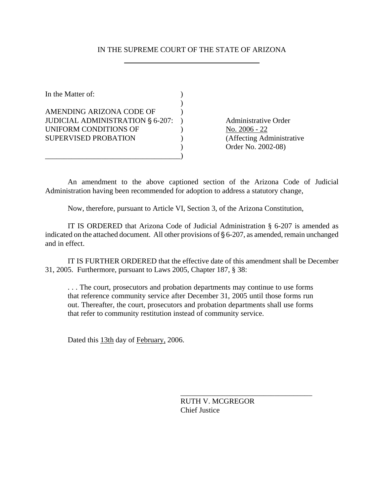## IN THE SUPREME COURT OF THE STATE OF ARIZONA

In the Matter of:  $\qquad \qquad$  )  $\lambda$ AMENDING ARIZONA CODE OF  $\qquad$  ) JUDICIAL ADMINISTRATION § 6-207: ) Administrative Order UNIFORM CONDITIONS OF  $\qquad \qquad$  ) No. 2006 - 22 SUPERVISED PROBATION (Affecting Administrative

\_\_\_\_\_\_\_\_\_\_\_\_\_\_\_\_\_\_\_\_\_\_\_\_\_\_\_\_\_\_\_\_\_\_\_\_)

) Order No. 2002-08)

An amendment to the above captioned section of the Arizona Code of Judicial Administration having been recommended for adoption to address a statutory change,

Now, therefore, pursuant to Article VI, Section 3, of the Arizona Constitution,

IT IS ORDERED that Arizona Code of Judicial Administration § 6-207 is amended as indicated on the attached document. All other provisions of  $\S 6-207$ , as amended, remain unchanged and in effect.

IT IS FURTHER ORDERED that the effective date of this amendment shall be December 31, 2005. Furthermore, pursuant to Laws 2005, Chapter 187, § 38:

. . . The court, prosecutors and probation departments may continue to use forms that reference community service after December 31, 2005 until those forms run out. Thereafter, the court, prosecutors and probation departments shall use forms that refer to community restitution instead of community service.

Dated this 13th day of February, 2006.

RUTH V. MCGREGOR Chief Justice

\_\_\_\_\_\_\_\_\_\_\_\_\_\_\_\_\_\_\_\_\_\_\_\_\_\_\_\_\_\_\_\_\_\_\_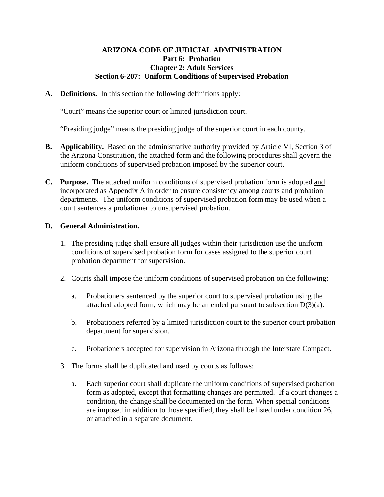### **ARIZONA CODE OF JUDICIAL ADMINISTRATION Part 6: Probation Chapter 2: Adult Services Section 6-207: Uniform Conditions of Supervised Probation**

**A. Definitions.** In this section the following definitions apply:

"Court" means the superior court or limited jurisdiction court.

"Presiding judge" means the presiding judge of the superior court in each county.

- **B. Applicability.** Based on the administrative authority provided by Article VI, Section 3 of the Arizona Constitution, the attached form and the following procedures shall govern the uniform conditions of supervised probation imposed by the superior court.
- **C. Purpose.** The attached uniform conditions of supervised probation form is adopted and incorporated as Appendix  $\overline{A}$  in order to ensure consistency among courts and probation departments. The uniform conditions of supervised probation form may be used when a court sentences a probationer to unsupervised probation.

### **D. General Administration.**

- 1. The presiding judge shall ensure all judges within their jurisdiction use the uniform conditions of supervised probation form for cases assigned to the superior court probation department for supervision.
- 2. Courts shall impose the uniform conditions of supervised probation on the following:
	- a. Probationers sentenced by the superior court to supervised probation using the attached adopted form, which may be amended pursuant to subsection  $D(3)(a)$ .
	- b. Probationers referred by a limited jurisdiction court to the superior court probation department for supervision.
	- c. Probationers accepted for supervision in Arizona through the Interstate Compact.
- 3. The forms shall be duplicated and used by courts as follows:
	- a. Each superior court shall duplicate the uniform conditions of supervised probation form as adopted, except that formatting changes are permitted. If a court changes a condition, the change shall be documented on the form. When special conditions are imposed in addition to those specified, they shall be listed under condition 26, or attached in a separate document.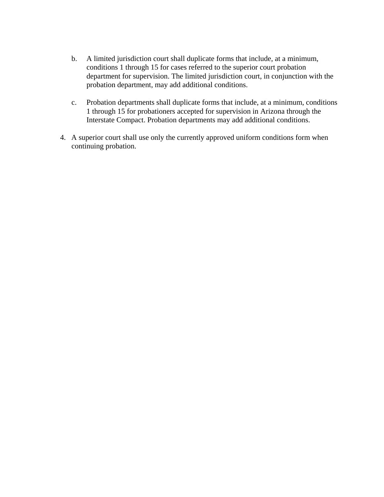- b. A limited jurisdiction court shall duplicate forms that include, at a minimum, conditions 1 through 15 for cases referred to the superior court probation department for supervision. The limited jurisdiction court, in conjunction with the probation department, may add additional conditions.
- c. Probation departments shall duplicate forms that include, at a minimum, conditions 1 through 15 for probationers accepted for supervision in Arizona through the Interstate Compact. Probation departments may add additional conditions.
- 4. A superior court shall use only the currently approved uniform conditions form when continuing probation.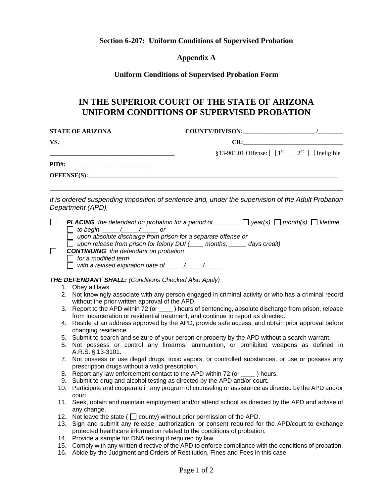**Section 6-207: Uniform Conditions of Supervised Probation** 

**Appendix A** 

**Uniform Conditions of Supervised Probation Form** 

# **IN THE SUPERIOR COURT OF THE STATE OF ARIZONA UNIFORM CONDITIONS OF SUPERVISED PROBATION**

| <b>STATE OF ARIZONA</b> |                                                                                                                                                                                                                                                                                                                                                                                                                                                                         | COUNTY/DIVISON:                                                                     |     |  |
|-------------------------|-------------------------------------------------------------------------------------------------------------------------------------------------------------------------------------------------------------------------------------------------------------------------------------------------------------------------------------------------------------------------------------------------------------------------------------------------------------------------|-------------------------------------------------------------------------------------|-----|--|
| VS.                     |                                                                                                                                                                                                                                                                                                                                                                                                                                                                         |                                                                                     | CR: |  |
|                         |                                                                                                                                                                                                                                                                                                                                                                                                                                                                         | §13-901.01 Offense: $\Box$ 1 <sup>st</sup> $\Box$ 2 <sup>nd</sup> $\Box$ Ineligible |     |  |
|                         |                                                                                                                                                                                                                                                                                                                                                                                                                                                                         |                                                                                     |     |  |
|                         | OFFENSE(S):                                                                                                                                                                                                                                                                                                                                                                                                                                                             |                                                                                     |     |  |
|                         | It is ordered suspending imposition of sentence and, under the supervision of the Adult Probation<br>Department (APD),                                                                                                                                                                                                                                                                                                                                                  |                                                                                     |     |  |
| $\perp$                 | <b>PLACING</b> the defendant on probation for a period of $\Box$ year(s) $\Box$ month(s) $\Box$ lifetime<br>$\Box$ to begin $\_\_\_\_\_\_\_\_\$<br>$\Box$ upon absolute discharge from prison for a separate offense or<br>$\Box$ upon release from prison for felony DUI ( $\_\_\_\$ months; $\_\_\_\_\$ days credit)<br><b>CONTINUING</b> the defendant on probation<br>$\Box$ for a modified term<br>$\Box$ with a revised expiration date of $\_\_\_\_\_\_\_\_\_\_$ |                                                                                     |     |  |
|                         | <b>THE DEFENDANT SHALL: (Conditions Checked Also Apply)</b>                                                                                                                                                                                                                                                                                                                                                                                                             |                                                                                     |     |  |
|                         | 1. Obey all laws.<br>2. Not knowingly associate with any person engaged in criminal activity or who has a criminal record                                                                                                                                                                                                                                                                                                                                               |                                                                                     |     |  |
|                         | without the prior written approval of the APD.<br>3. Report to the APD within 72 (or _____) hours of sentencing, absolute discharge from prison, release                                                                                                                                                                                                                                                                                                                |                                                                                     |     |  |
|                         | from incarceration or residential treatment, and continue to report as directed.                                                                                                                                                                                                                                                                                                                                                                                        |                                                                                     |     |  |
|                         | 4. Reside at an address approved by the APD, provide safe access, and obtain prior approval before<br>changing residence.                                                                                                                                                                                                                                                                                                                                               |                                                                                     |     |  |
|                         | 5. Submit to search and seizure of your person or property by the APD without a search warrant.                                                                                                                                                                                                                                                                                                                                                                         |                                                                                     |     |  |
|                         | 6. Not possess or control any firearms, ammunition, or prohibited weapons as defined in                                                                                                                                                                                                                                                                                                                                                                                 |                                                                                     |     |  |
|                         | A.R.S. § 13-3101.<br>7. Not possess or use illegal drugs, toxic vapors, or controlled substances, or use or possess any                                                                                                                                                                                                                                                                                                                                                 |                                                                                     |     |  |
|                         | prescription drugs without a valid prescription.                                                                                                                                                                                                                                                                                                                                                                                                                        |                                                                                     |     |  |
|                         | 8. Report any law enforcement contact to the APD within 72 (or ____) hours.                                                                                                                                                                                                                                                                                                                                                                                             |                                                                                     |     |  |
|                         | 9. Submit to drug and alcohol testing as directed by the APD and/or court.<br>10. Participate and cooperate in any program of counseling or assistance as directed by the APD and/or                                                                                                                                                                                                                                                                                    |                                                                                     |     |  |
|                         | court.                                                                                                                                                                                                                                                                                                                                                                                                                                                                  |                                                                                     |     |  |
|                         | 11. Seek, obtain and maintain employment and/or attend school as directed by the APD and advise of                                                                                                                                                                                                                                                                                                                                                                      |                                                                                     |     |  |
|                         | any change.<br>12. Not leave the state ( $\Box$ county) without prior permission of the APD.                                                                                                                                                                                                                                                                                                                                                                            |                                                                                     |     |  |
|                         | 13. Sign and submit any release, authorization, or consent required for the APD/court to exchange<br>protected healthcare information related to the conditions of probation.                                                                                                                                                                                                                                                                                           |                                                                                     |     |  |

- 14. Provide a sample for DNA testing if required by law.
- 15. Comply with any written directive of the APD to enforce compliance with the conditions of probation.
- 16. Abide by the Judgment and Orders of Restitution, Fines and Fees in this case.